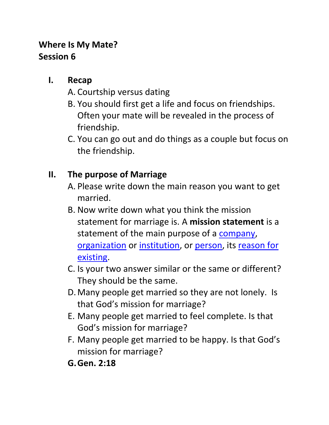## **Where Is My Mate? Session 6**

## **I. Recap**

- A. Courtship versus dating
- B. You should first get a life and focus on friendships. Often your mate will be revealed in the process of friendship.
- C. You can go out and do things as a couple but focus on the friendship.

## **II. The purpose of Marriage**

- A. Please write down the main reason you want to get married.
- B. Now write down what you think the mission statement for marriage is. A **mission statement** is a statement of the main purpose of a [company,](http://en.wikipedia.org/wiki/Company) [organization](http://en.wikipedia.org/wiki/Organization) or institution, or [person,](http://en.wikipedia.org/wiki/Person) its [reason for](http://en.wikipedia.org/wiki/Reason_for_existing)  [existing.](http://en.wikipedia.org/wiki/Reason_for_existing)
- C. Is your two answer similar or the same or different? They should be the same.
- D.Many people get married so they are not lonely. Is that God's mission for marriage?
- E. Many people get married to feel complete. Is that God's mission for marriage?
- F. Many people get married to be happy. Is that God's mission for marriage?
- **G.Gen. 2:18**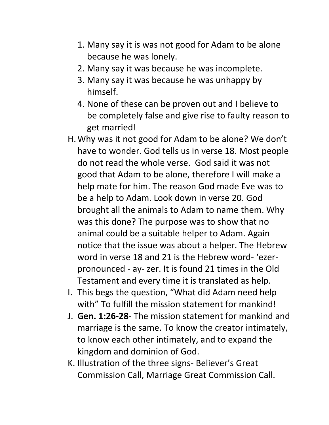- 1. Many say it is was not good for Adam to be alone because he was lonely.
- 2. Many say it was because he was incomplete.
- 3. Many say it was because he was unhappy by himself.
- 4. None of these can be proven out and I believe to be completely false and give rise to faulty reason to get married!
- H.Why was it not good for Adam to be alone? We don't have to wonder. God tells us in verse 18. Most people do not read the whole verse. God said it was not good that Adam to be alone, therefore I will make a help mate for him. The reason God made Eve was to be a help to Adam. Look down in verse 20. God brought all the animals to Adam to name them. Why was this done? The purpose was to show that no animal could be a suitable helper to Adam. Again notice that the issue was about a helper. The Hebrew word in verse 18 and 21 is the Hebrew word- 'ezerpronounced - ay- zer. It is found 21 times in the Old Testament and every time it is translated as help.
- I. This begs the question, "What did Adam need help with" To fulfill the mission statement for mankind!
- J. **Gen. 1:26-28** The mission statement for mankind and marriage is the same. To know the creator intimately, to know each other intimately, and to expand the kingdom and dominion of God.
- K. Illustration of the three signs- Believer's Great Commission Call, Marriage Great Commission Call.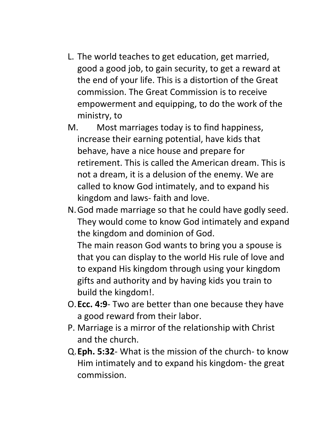- L. The world teaches to get education, get married, good a good job, to gain security, to get a reward at the end of your life. This is a distortion of the Great commission. The Great Commission is to receive empowerment and equipping, to do the work of the ministry, to
- M. Most marriages today is to find happiness, increase their earning potential, have kids that behave, have a nice house and prepare for retirement. This is called the American dream. This is not a dream, it is a delusion of the enemy. We are called to know God intimately, and to expand his kingdom and laws- faith and love.
- N.God made marriage so that he could have godly seed. They would come to know God intimately and expand the kingdom and dominion of God.

The main reason God wants to bring you a spouse is that you can display to the world His rule of love and to expand His kingdom through using your kingdom gifts and authority and by having kids you train to build the kingdom!.

- O.**Ecc. 4:9** Two are better than one because they have a good reward from their labor.
- P. Marriage is a mirror of the relationship with Christ and the church.
- Q.**Eph. 5:32** What is the mission of the church- to know Him intimately and to expand his kingdom- the great commission.